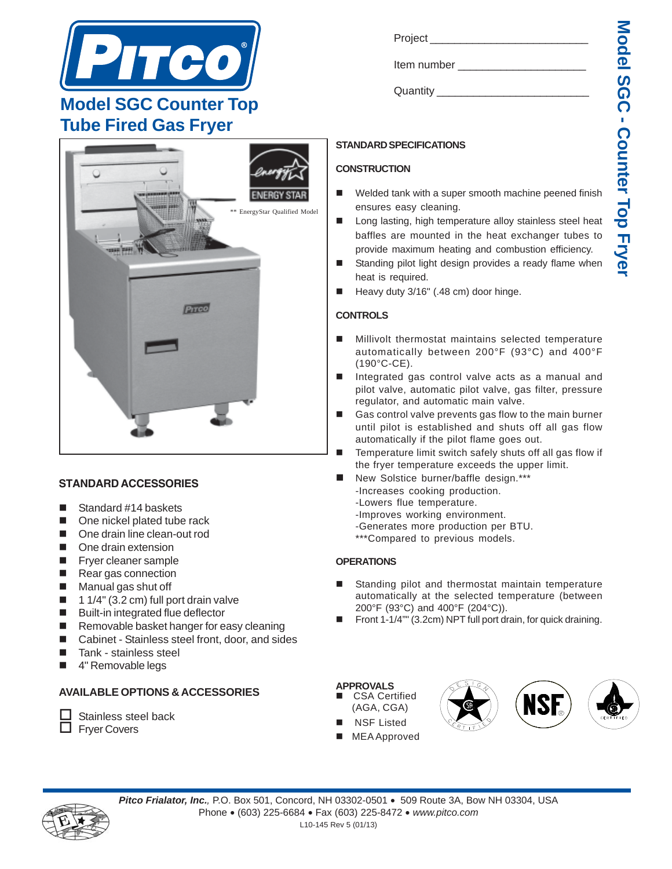



### **STANDARD ACCESSORIES**

- Standard #14 baskets
- One nickel plated tube rack
- One drain line clean-out rod
- **Deap One drain extension**
- Fryer cleaner sample
- Rear gas connection
- Manual gas shut off
- $\blacksquare$  1/4" (3.2 cm) full port drain valve
- Built-in integrated flue deflector
- Removable basket hanger for easy cleaning
- Cabinet Stainless steel front, door, and sides
- Tank stainless steel
- 4" Removable legs

# **AVAILABLE OPTIONS & ACCESSORIES**

 $\Box$  Stainless steel back

**T** Fryer Covers

| Project |  |  |
|---------|--|--|
|         |  |  |

Item number

Quantity \_\_\_\_\_\_\_\_\_\_\_\_\_\_\_\_\_\_\_\_\_\_\_\_\_

**STANDARD SPECIFICATIONS**

ensures easy cleaning.

heat is required.

**CONSTRUCTION**

# Model SGC - Counter Top Fryel **Model SGC - Counter Top Fryer**

Heavy duty 3/16" (.48 cm) door hinge.

# **CONTROLS**

**Millivolt thermostat maintains selected temperature** automatically between 200°F (93°C) and 400°F (190°C-CE).

■ Welded tank with a super smooth machine peened finish

**Long lasting, high temperature alloy stainless steel heat** baffles are mounted in the heat exchanger tubes to provide maximum heating and combustion efficiency. ■ Standing pilot light design provides a ready flame when

- Integrated gas control valve acts as a manual and pilot valve, automatic pilot valve, gas filter, pressure regulator, and automatic main valve.
- Gas control valve prevents gas flow to the main burner until pilot is established and shuts off all gas flow automatically if the pilot flame goes out.
- Temperature limit switch safely shuts off all gas flow if the fryer temperature exceeds the upper limit.
- New Solstice burner/baffle design.\*\*\* -Increases cooking production. -Lowers flue temperature. -Improves working environment.
	- -Generates more production per BTU.
	- \*\*\*Compared to previous models.

### **OPERATIONS**

- Standing pilot and thermostat maintain temperature automatically at the selected temperature (between 200°F (93°C) and 400°F (204°C)).
- Front 1-1/4"" (3.2cm) NPT full port drain, for quick draining.

### **APPROVALS**

- CSA Certified
- (AGA, CGA)
- **NSF** Listed ■ MEA Approved